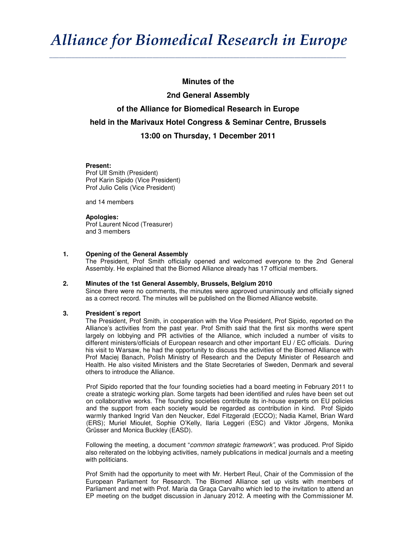# *Alliance for Biomedical Research in Europe*

**\_\_\_\_\_\_\_\_\_\_\_\_\_\_\_\_\_\_\_\_\_\_\_\_\_\_\_\_\_\_\_\_\_\_\_\_\_\_\_\_\_\_\_\_\_\_\_\_\_\_\_\_\_\_\_\_\_\_\_\_\_\_\_\_\_\_\_\_\_\_\_\_\_\_\_\_\_\_\_\_\_\_\_\_\_\_\_\_\_\_\_\_** 

# **Minutes of the**

# **2nd General Assembly of the Alliance for Biomedical Research in Europe held in the Marivaux Hotel Congress & Seminar Centre, Brussels 13:00 on Thursday, 1 December 2011**

### **Present:**

Prof Ulf Smith (President) Prof Karin Sipido (Vice President) Prof Julio Celis (Vice President)

and 14 members

#### **Apologies:**

Prof Laurent Nicod (Treasurer) and 3 members

### **1. Opening of the General Assembly**

The President, Prof Smith officially opened and welcomed everyone to the 2nd General Assembly. He explained that the Biomed Alliance already has 17 official members.

#### **2. Minutes of the 1st General Assembly, Brussels, Belgium 2010**

Since there were no comments, the minutes were approved unanimously and officially signed as a correct record. The minutes will be published on the Biomed Alliance website.

# **3. President´s report**

The President, Prof Smith, in cooperation with the Vice President, Prof Sipido, reported on the Alliance's activities from the past year. Prof Smith said that the first six months were spent largely on lobbying and PR activities of the Alliance, which included a number of visits to different ministers/officials of European research and other important EU / EC officials. During his visit to Warsaw, he had the opportunity to discuss the activities of the Biomed Alliance with Prof Maciej Banach, Polish Ministry of Research and the Deputy Minister of Research and Health. He also visited Ministers and the State Secretaries of Sweden, Denmark and several others to introduce the Alliance.

Prof Sipido reported that the four founding societies had a board meeting in February 2011 to create a strategic working plan. Some targets had been identified and rules have been set out on collaborative works. The founding societies contribute its in-house experts on EU policies and the support from each society would be regarded as contribution in kind. Prof Sipido warmly thanked Ingrid Van den Neucker, Edel Fitzgerald (ECCO); Nadia Kamel, Brian Ward (ERS); Muriel Mioulet, Sophie O'Kelly, Ilaria Leggeri (ESC) and Viktor Jörgens, Monika Grüsser and Monica Buckley (EASD).

Following the meeting, a document "common strategic framework", was produced. Prof Sipido also reiterated on the lobbying activities, namely publications in medical journals and a meeting with politicians.

Prof Smith had the opportunity to meet with Mr. Herbert Reul, Chair of the Commission of the European Parliament for Research. The Biomed Alliance set up visits with members of Parliament and met with Prof. Maria da Graça Carvalho which led to the invitation to attend an EP meeting on the budget discussion in January 2012. A meeting with the Commissioner M.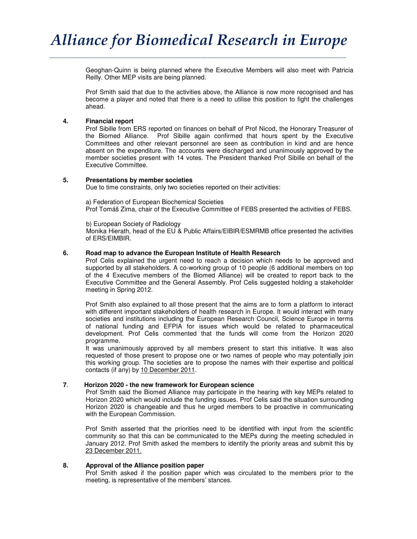**\_\_\_\_\_\_\_\_\_\_\_\_\_\_\_\_\_\_\_\_\_\_\_\_\_\_\_\_\_\_\_\_\_\_\_\_\_\_\_\_\_\_\_\_\_\_\_\_\_\_\_\_\_\_\_\_\_\_\_\_\_\_\_\_\_\_\_\_\_\_\_\_\_\_\_\_\_\_\_\_\_\_\_\_\_\_\_\_\_\_\_\_** 

Geoghan-Quinn is being planned where the Executive Members will also meet with Patricia Reilly. Other MEP visits are being planned.

Prof Smith said that due to the activities above, the Alliance is now more recognised and has become a player and noted that there is a need to utilise this position to fight the challenges ahead.

### **4. Financial report**

Prof Sibille from ERS reported on finances on behalf of Prof Nicod, the Honorary Treasurer of the Biomed Alliance. Prof Sibille again confirmed that hours spent by the Executive Committees and other relevant personnel are seen as contribution in kind and are hence absent on the expenditure. The accounts were discharged and unanimously approved by the member societies present with 14 votes. The President thanked Prof Sibille on behalf of the Executive Committee.

#### **5. Presentations by member societies**

Due to time constraints, only two societies reported on their activities:

a) Federation of European Biochemical Societies Prof Tomáš Zima, chair of the Executive Committee of FEBS presented the activities of FEBS.

b) European Society of Radiology Monika Hierath, head of the EU & Public Affairs/EIBIR/ESMRMB office presented the activities of ERS/EIMBIR.

### **6. Road map to advance the European Institute of Health Research**

Prof Celis explained the urgent need to reach a decision which needs to be approved and supported by all stakeholders. A co-working group of 10 people (6 additional members on top of the 4 Executive members of the Biomed Alliance) will be created to report back to the Executive Committee and the General Assembly. Prof Celis suggested holding a stakeholder meeting in Spring 2012.

Prof Smith also explained to all those present that the aims are to form a platform to interact with different important stakeholders of health research in Europe. It would interact with many societies and institutions including the European Research Council, Science Europe in terms of national funding and EFPIA for issues which would be related to pharmaceutical development. Prof Celis commented that the funds will come from the Horizon 2020 programme.

It was unanimously approved by all members present to start this initiative. It was also requested of those present to propose one or two names of people who may potentially join this working group. The societies are to propose the names with their expertise and political contacts (if any) by 10 December 2011.

#### **7**. **Horizon 2020 - the new framework for European science**

Prof Smith said the Biomed Alliance may participate in the hearing with key MEPs related to Horizon 2020 which would include the funding issues. Prof Celis said the situation surrounding Horizon 2020 is changeable and thus he urged members to be proactive in communicating with the European Commission.

Prof Smith asserted that the priorities need to be identified with input from the scientific community so that this can be communicated to the MEPs during the meeting scheduled in January 2012. Prof Smith asked the members to identify the priority areas and submit this by 23 December 2011.

# **8. Approval of the Alliance position paper**

Prof Smith asked if the position paper which was circulated to the members prior to the meeting, is representative of the members' stances.